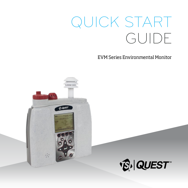# QUICK START GUIDE

EVM Series Environmental Monitor

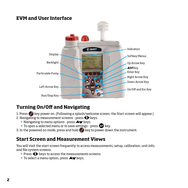## **EVM and User Interface**



## **Turning On/Off and Navigating**

- 1. Press key power on. (Following a splash/welcome screen, the Start screen will appear.)
- 2. Navigating to measurement screens press  $\blacklozenge$  keys.
	- $+$  Navigating to menu options press  $\blacktriangle\blacktriangledown$  keys.
	- $+$  To open a selected menu or to save settings press  $\bigcirc$  key.
- 3. In the powered on mode, press and hold key to power down the instrument.

## **Start Screen and Measurement Views**

You will visit the start screen frequently to access measurements, setup, calibration, unit info, and file system screens.

- + Press  $\bigoplus$  keys to access the measurements screens.
- $+$  To select a menu option, press  $\blacktriangle$  keys.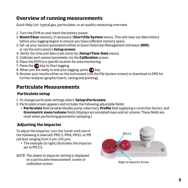## **Overview of running measurements**

Quick Help List: typical gas, particulates, or air quality measuring overview

- 1. Turn the EVM on and check the battery power.
- 2. **Reset/Clear** memory, if necessary (**Start\File System** menu). This will clear out data history before your logging begins to ensure you have sufficient memory space.
- 3. Set-up your session parameters either in Quest Detection Management Software (**DMS**) or via the instrument's **Setup screen**.
- 4. Verify the time and date is set correctly (**Setup\Time-Date** menu).
- 5. Calibrate each sensor/parameter via the **Calibration** screen.
- 6. Place the EVM in a specific location for area monitoring.
- 7. Press the  $\Omega$  key to Start logging.
- 8. When you are ready to end your logging, press  $\bullet$  key.
- 9. Review your results either on the instrument (via the File System screen) or download to DMS for further analysis (graphs/charts, saving and printing).

## **Particulate Measurements**

#### **Particulate setup**

- 1. To change particulate settings select: **Setup\Particulate**.
- 2. Particulate screen appears and includes the following adjustable fields:
	- + **Particulate** field (enable/disable pump collection), **Profile** field (applying a correction factor), and **Gravimetric mass/volume** fields (displays accumulated mass and air volume. These fields are reset when performing gravimetric sampling.)

### **Adjusting the Impactor**

To adjust the impactor, turn the turret until one of the following is selected: PM2.5, PM4, PM10, or PM (all dust ranging from 0 μm-100 μm).

- + The example (to right) illustrates the impactor set to PM 2.5.
- NOTE: The dialed-in impactor setting is displayed on a particulate measurement screen or calibration screen .

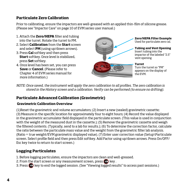#### **Particulate Zero Calibration**

Prior to calibrating, ensure the impactors are well-greased with an applied thin-film of silicone grease. (Please see "Impactor Care" on page 10 of EVM series user manual.)

- 1. Attach the **Zero/HEPA** filter and tubing into the turret. Rotate the turret to PM.
- 2. Select **Calibration** from the **Start** screen and select **PM** (using up/down arrows).
- 3. Press **Cal** softkey and then press **Start** softkey. Once level is stabilized, press **Set** softkey.
- 4. Once level has been set, you can press **Save** or **Cancel**. (Please refer to Chapter 4 of EVM series manual for more information.)



NOTE: Once saved, the instrument will apply the zero calibration to all profiles. The zero calibration is stored in the History screen and a calibration. Verify can be performed (to ensure no drifting).

#### **Particulate Advanced Calibration (Gravimetric)**

#### **Gravimetric Calibration Overview**

(1)Reset the gravimetric and volume accumulators; (2) Insert a new (sealed) gravimetric cassette; (3) Measure in the specific location for approximately four to eight hours; (4) Record the value displayed in the gravimetric accumulator field displayed in the particulate screen. (This value is used in conjunction with the weight of the measured dust in the cassette.); (5) Remove the gravimetric cassette and weigh the filtered contents. (Typically, send to a lab for results.); (6) To determine the correction factor, calculate the ratio between the particulate mass value and the weight from the gravimetric filter lab analysis. (Ratio = true weight/EVM gravimetric displayed value). (7) Enter user correction value (Setup\Particulate screen. Select profile field and then press Edit softkey. Add Factor using up/down arrows. Press On/OFF/ Esc key twice to return to start screen.)

#### **Logging Particulates**

- 1. Before logging particulates, ensure the impactors are clean and well-greased.
- 2. From the start screen or any measurement screen, press  $\Box$  key.
- 3. Press **b** key to end the logged session. (See "Viewing logged results" to access past sessions.)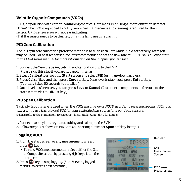#### **Volatile Organic Compounds (VOCs)**

VOCs, air pollution with carbon-containing chemicals, are measured using a Photoionization detector 10.6eV. The EVM is equipped to notify you when maintenance and cleaning is required for the PID sensor. A PID sensor error will appear indicating:

(1) if the sensor needs to be cleaned, or (2) the lamp needs replacing.

#### **PID Zero Calibration**

The PID ppm zero calibration preferred method is to flush with Zero Grade Air. Alternatively, Nitrogen may be used. For best response time, it is recommended to set the flow rate at 1 LPM. NOTE: Please refer to the EVM series manual for more information on the PID ppm/ppb sensors.

- 1. Connect the Zero Grade Air, tubing, and calibration cup to the EVM. (Please skip this step if you are not applying a gas.)
- 2. Select **Calibration** from the **Start** screen and select **PID** (using up/down arrows).
- 3. Press **Cal** softkey and then press **Zero** softkey. Once level is stabilized, press **Set** softkey. (Typically takes 60 seconds to stabilize.)
- 4. Once level has been set, you can press **Save** or **Cancel**. (Disconnect components and return to the start screen via On/Off/Esc key.)

#### **PID Span Calibration**

Typically, Isobutylene is used when the VOCs are unknown. NOTE: in order to measure specific VOCs, you will want to use the relevant VOC for your calibrated gas source for a ppm/ppb sensors. (Please refer to the manual for PID correction factor table; Appendix C for details.)

1. Connect Isobutylene, regulator, tubing and cal cap to the EVM.

2. Follow steps 2-4 above (in PID Zero Cal. section) but select **Span** softkey instep 3.

#### **Logging VOCs**

- 1. From the start screen or any measurement screen, press  $\Box$  key.
	- + To view VOCs measurements, select either the Gas or Composite screen by pressing  $\blacklozenge$  keys from the start screen.
- 2. Press **bu** key to stop logging. (See "Viewing logged results" to access past sessions.)

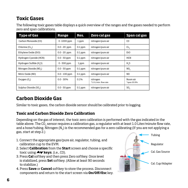## **Toxic Gases**

The following toxic gases table displays a quick overview of the ranges and the gases needed to perform zero and span calibrations.

| <b>Type of Gas</b>                  | Range           | Res.      | Zero cal gas                      | Span cal gas            |
|-------------------------------------|-----------------|-----------|-----------------------------------|-------------------------|
| Carbon Monoxide (CO)                | $0 - 1000$ ppm  | 1 ppm     | nitrogen/pure air                 | CO                      |
| Chlorine (CL <sub>2</sub> )         | $0.0 - 20$ ppm  | $0.1$ ppm | nitrogen/pure air                 | $CL_{2}$                |
| Ethylene Oxide (EtO)                | $0.0 - 20$ ppm  | $0.1$ ppm | nitrogen/pure air                 | EtO                     |
| Hydrogen Cyanide (HCN)              | $0.0 - 50$ ppm  | $0.1$ ppm | nitrogen/pure air                 | HCN                     |
| Hydrogen Sulfide (H <sub>2</sub> S) | $0 - 500$ ppm   | 1 ppm     | nitrogen/pure air                 | $H_{2}S$                |
| Nitrogen Dioxide (NO.)              | $0.0 - 50$ ppm  | $0.1$ ppm | nitrogen/pure air                 | NO <sub>2</sub>         |
| Nitric Oxide (NO)                   | $0.0 - 100$ ppm | $0.1$ ppm | nitrogen/pure air                 | N <sub>O</sub>          |
| Oxygen(0, )                         | $0.0 - 30%$     | 0.1%      | nitrogen<br>*1.0 L/min. flow rate | Room air<br>*span 20.9% |
| Sulphur Dioxide (SO.)               | $0.0 - 50$ ppm  | $0.1$ ppm | nitrogen/pure air                 | SO,                     |

## **Carbon Dioxide Gas**

Similar to toxic gases, the carbon dioxide sensor should be calibrated prior to logging.

#### **Toxic and Carbon Dioxide Zero Calibration**

Depending on the gas of interest, the toxic zero calibration is performed with the gas indicated in the table above. The CO<sub>2</sub> sensor requires a calibration gas, a regulator with at least 1.0 Liter/minute flow rate, and a hose/tubing. Nitrogen (N<sub>2</sub>) is the recommended gas for a zero calibrating (If you are not applying a gas, start at step 2.)

- 1. Connect the appropriate gas/pure air, regulator, tubing, and calibration cup to the EVM.
- 2. Select **Calibration** from the **Start** screen and choose a specific toxic using **keys**. (i.e., CO).
- 3. Press **Cal** softkey and then press Zero softkey. Once level is stabilized, press **Set** softkey. (Allow at least 90 seconds to stabilize.)
- 4. Press **Save** or **Cancel** softkey to store the process. Disconnect components and return to the start screen via **On/Off/Esc** key.

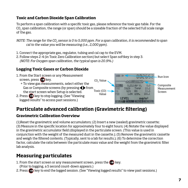#### **Toxic and Carbon Dioxide Span Calibration**

To perform a span calibration with a specific toxic gas, please reference the toxic gas table. For the CO2 span calibration, the range (or span) should be a sizeable fraction of the selected full scale range of the gas.

- NOTE: The range for the CO<sub>2</sub> sensor is 0 to 5,000 ppm. For a span calibration, it is recommended to span cal to the value you will be measuring (i.e., 2,000 ppm).
- 1. Connect the appropriate gas, regulator, tubing and cal cap to the EVM.
- 2. Follow steps 2-4 (in Toxic Zero Calibration section) but select Span softkey in step 3. (NOTE: For Oxygen span calibration, the typical span is 20.9%.)

#### **Logging Toxic Gases or Carbon Dioxide**



## **Particulate advanced calibration (Gravimetric filtering)**

#### **Gravimetric Calibration Overview**

(1)Reset the gravimetric and volume accumulators; (2) Insert a new (sealed) gravimetric cassette; (3) Measure in the specific location for approximately four to eight hours; (4) Notate the value displayed in the gravimetric accumulator field (displayed in the particulate screen. (This value is used in conjunction with the weight of the measured dust in the cassette.); (5) Remove the gravimetric cassette and weigh the filtered contents. (Typically, sent to a lab for results.); (6) To determine the correction factor, calculate the ratio between the particulate mass value and the weight from the gravimetric filter lab analysis.

## **Measuring particulates**

1. From the start screen or any measurement screen, press the  $\Box$  key.

(Prior to logging, a 5 second count-down appears.)

2. Press **b** key to end the logged session. (See "Viewing logged results" to view past sessions.)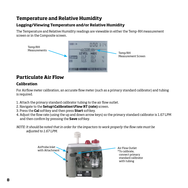## **Temperature and Relative Humidity**

#### **Logging/Viewing Temperature and/or Relative Humidity**

The Temperature and Relative Humidity readings are viewable in either the Temp-RH measurement screen or in the Composite screen.



## **Particulate Air Flow**

#### **Calibration**

For Airflow meter calibration, an accurate flow meter (such as a primary standard calibrator) and tubing is required.

- 1. Attach the primary standard calibrator tubing to the air flow outlet.
- 2. Navigate to the **Setup\Calibration\Flow RT (rate)** screen.
- 3. Press the **Cal** softkey and then press **Start** softkey.
- 4. Adjust the flow rate (using the up and down arrow keys) so the primary standard calibrator is 1.67 LPM and then confirm by pressing the **Save** softkey.
- NOTE: It should be noted that in order for the impactors to work properly the flow rate must be adjusted to 1.67 LPM.

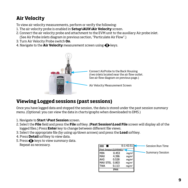## **Air Velocity**

To view air velocity measurements, perform or verify the following:

- 1. The air velocity probe is enabled in **Setup\AUX\Air Velocity** screen.
- 2. Connect the air velocity probe and attachment to the EVM unit to the auxiliary Air probe inlet. (See Air Probe inlets diagram in previous section, "Particulate Air Flow".)
- 3. Turn Air Velocity Probe switch **On**.
- 4. Navigate to the **Air Velocity** measurement screen using  $\blacklozenge$  keys.



## **Viewing Logged sessions (past sessions)**

Once you have logged data and stopped the session, the data is stored under the past session summary menu. (Optional: you can view the data in charts/graphs when downloaded to DMS.)

- 1. Navigate to **Start \Past Session** screen.
- 2. Select the **File** field and press the **File** softkey. (**Past Session\Load File** screen will display all of the logged files.) Press **Enter** key to change between different file views.
- 3. Select the appropriate file (by using up/down arrows) and press the **Load** softkey.
- 4. Press **Detail** softkey to view data.
- 5. Press  $\blacklozenge$  keys to view summary data. Repeat as necessary.

|                        |       | 0:1:42:51         | Session Run Time       |
|------------------------|-------|-------------------|------------------------|
| \Past Session\SUMMARY/ |       |                   |                        |
| MIN                    | 0.453 | mq/m <sup>3</sup> | <b>Summary Session</b> |
| <b>MAX</b>             | 4.396 | mg/m <sup>3</sup> |                        |
| <b>AVG</b>             | 0.528 | mg/m <sup>3</sup> |                        |
| <b>MAX STEL</b>        | 0.803 | mq/m <sup>3</sup> |                        |
| WA                     | 0.113 | ma/m <sup>3</sup> |                        |
|                        | PM4   |                   |                        |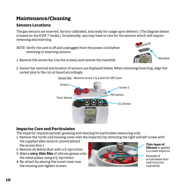## **Maintenance/Cleaning**

#### **Sensors Locations**

The gas sensors are inserted, factory calibrated, and ready for usage upon delivery. (The diagram below is based on the EVM-7 model.) Occasionally, you may have to care for the sensors which will require removing and inserting.

NOTE: Verify the unit is off and unplugged from the power cord before removing or inserting sensors.



- 1. Remove the sensor bar (via the screws) and remove the manifold.
- 2. Sensor bar removal and location of sensors are displayed below. When removing/inserting, align the socket pins to the circuit board accordingly.

CO<sub>2</sub> Sensor Toxic Sensor PID Sensor Screw 1. Screw 2

## Sensor Bar - Remove Screw 1 & 2 and Lift Off Cover

#### **Impactor Care and Particulates**

The impactor requires periodic greasing and cleaning for particulate measuring only.

- 1. Remove the turret (red housing cover over the impactor) by removing the right and left screw with the supplied allen wrench (stored behind
- the access door.)
- 2. Remove all debris/dust with a Q-tip/cotton.
- 3. Wipe a **very thin film** of silicone grease onto the metal plates using a Q-tip/cotton.
- 4. Re-attach by placing the turret cover over the housing and tighten screws.



**Thin-layer of Silicone** is applied to a clean impactor.

Example of accumulated dust (will form into a pyramid)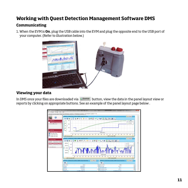## **Working with Quest Detection Management Software DMS**

#### **Communicating**

1. When the EVM is **On**, plug the USB cable into the EVM and plug the opposite end to the USB port of your computer. (Refer to illustration below.)



#### **Viewing your data**

In DMS once your files are downloaded via button, view the data in the panel layout view or Downloadreports by clicking on appropriate buttons. See an example of the panel layout page below .